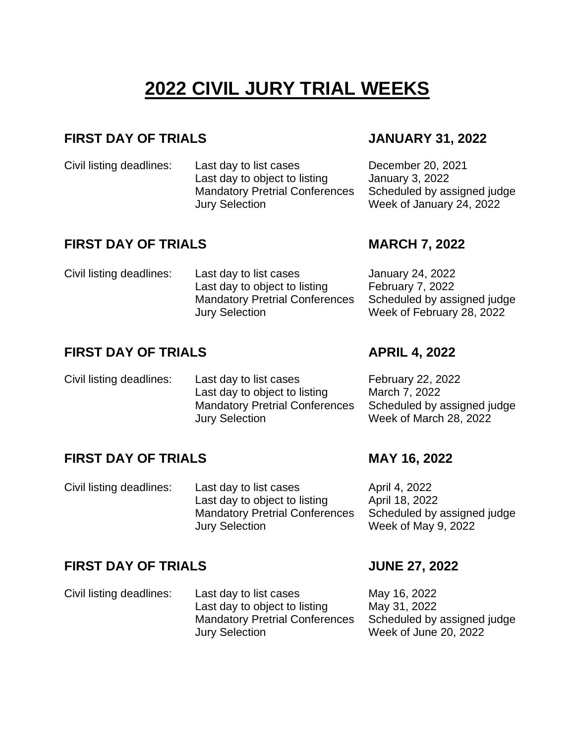# **2022 CIVIL JURY TRIAL WEEKS**

### **FIRST DAY OF TRIALS JANUARY 31, 2022**

Civil listing deadlines: Last day to list cases December 20, 2021 Last day to object to listing January 3, 2022 Mandatory Pretrial Conferences Jury Selection

# **FIRST DAY OF TRIALS MARCH 7, 2022**

Scheduled by assigned judge Week of January 24, 2022

Civil listing deadlines: Last day to list cases January 24, 2022 Last day to object to listing February 7, 2022 Mandatory Pretrial Conferences Jury Selection Scheduled by assigned judge

# **FIRST DAY OF TRIALS APRIL 4, 2022**

Civil listing deadlines: Last day to list cases February 22, 2022 Last day to object to listing March 7, 2022 Mandatory Pretrial Conferences Jury Selection Scheduled by assigned judge Week of March 28, 2022

# **FIRST DAY OF TRIALS MAY 16, 2022**

Civil listing deadlines: Last day to list cases April 4, 2022 Last day to object to listing April 18, 2022 Mandatory Pretrial Conferences Jury Selection

Scheduled by assigned judge Week of May 9, 2022

### **FIRST DAY OF TRIALS JUNE 27, 2022**

Civil listing deadlines: Last day to list cases May 16, 2022 Last day to object to listing May 31, 2022 Mandatory Pretrial Conferences Jury Selection Scheduled by assigned judge Week of June 20, 2022

Week of February 28, 2022